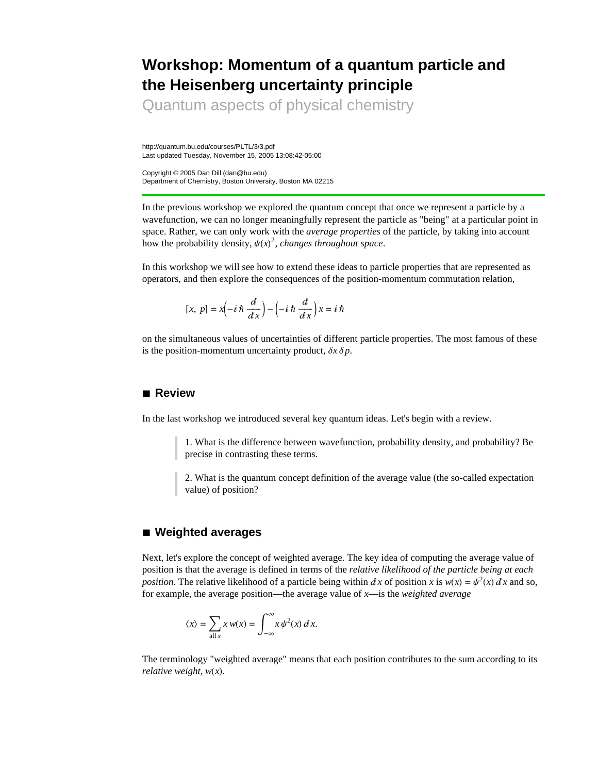# **Workshop: Momentum of a quantum particle and the Heisenberg uncertainty principle**

Quantum aspects of physical chemistry

http://quantum.bu.edu/courses/PLTL/3/3.pdf Last updated Tuesday, November 15, 2005 13:08:42-05:00

Copyright © 2005 Dan Dill (dan@bu.edu) Department of Chemistry, Boston University, Boston MA 02215

In the previous workshop we explored the quantum concept that once we represent a particle by a wavefunction, we can no longer meaningfully represent the particle as "being" at a particular point in space. Rather, we can only work with the *average properties* of the particle, by taking into account how the probability density,  $\psi(x)^2$ , *changes throughout space*.

In this workshop we will see how to extend these ideas to particle properties that are represented as operators, and then explore the consequences of the position-momentum commutation relation,

$$
[x, p] = x\left(-i\hbar \frac{d}{dx}\right) - \left(-i\hbar \frac{d}{dx}\right)x = i\hbar
$$

on the simultaneous values of uncertainties of different particle properties. The most famous of these is the position-momentum uncertainty product,  $\delta x \delta p$ .

### **à Review**

In the last workshop we introduced several key quantum ideas. Let's begin with a review.

1. What is the difference between wavefunction, probability density, and probability? Be precise in contrasting these terms.

2. What is the quantum concept definition of the average value (the so-called expectation value) of position?

#### **à Weighted averages**

Next, let's explore the concept of weighted average. The key idea of computing the average value of position is that the average is defined in terms of the *relative likelihood of the particle being at each position*. The relative likelihood of a particle being within dx of position x is  $w(x) = \psi^2(x) dx$  and so, for example, the average position—the average value of *x*—is the *weighted average*

$$
\langle x \rangle = \sum_{\text{all } x} x w(x) = \int_{-\infty}^{\infty} x \psi^2(x) \, dx.
$$

The terminology "weighted average" means that each position contributes to the sum according to its *relative weight,*  $w(x)$ .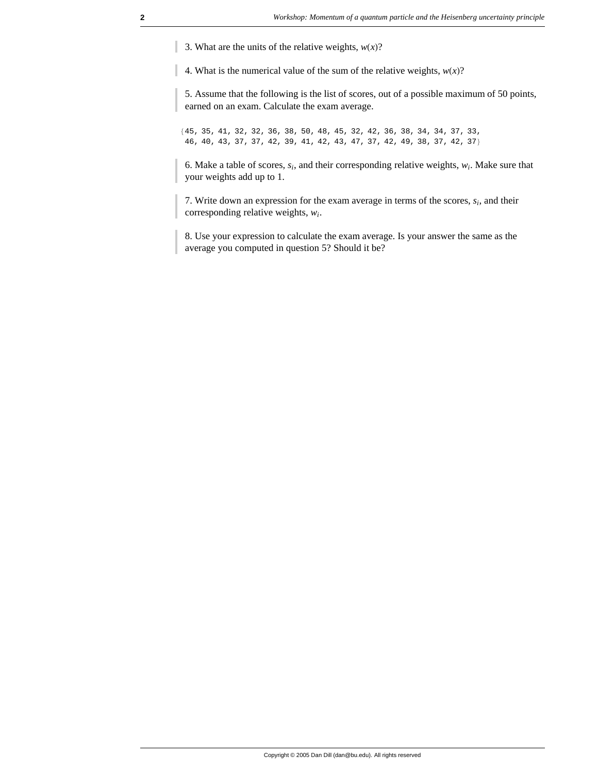3. What are the units of the relative weights,  $w(x)$ ?

4. What is the numerical value of the sum of the relative weights,  $w(x)$ ?

5. Assume that the following is the list of scores, out of a possible maximum of 50 points, earned on an exam. Calculate the exam average.

845, 35, 41, 32, 32, 36, 38, 50, 48, 45, 32, 42, 36, 38, 34, 34, 37, 33, 46, 40, 43, 37, 37, 42, 39, 41, 42, 43, 47, 37, 42, 49, 38, 37, 42, 37<

6. Make a table of scores,  $s_i$ , and their corresponding relative weights,  $w_i$ . Make sure that your weights add up to 1.

7. Write down an expression for the exam average in terms of the scores, *si*, and their corresponding relative weights, *wi*.

8. Use your expression to calculate the exam average. Is your answer the same as the average you computed in question 5? Should it be?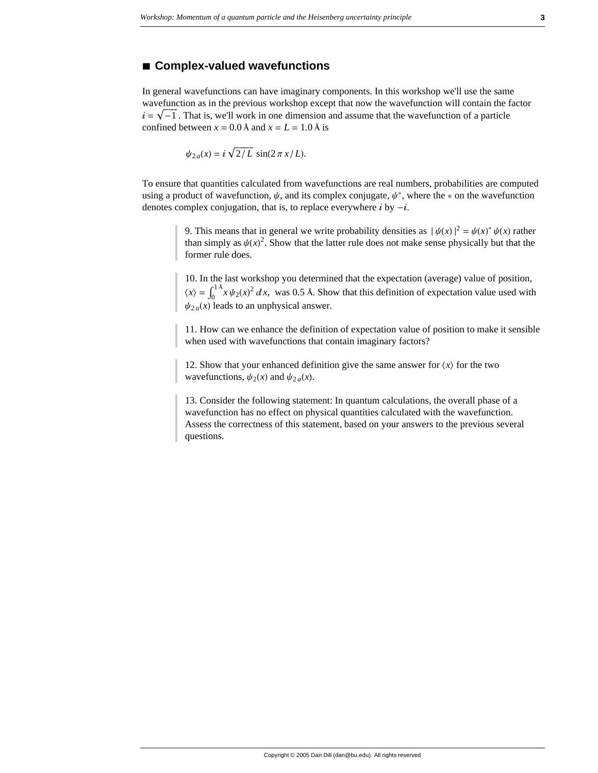#### **à Complex-valued wavefunctions**

In general wavefunctions can have imaginary components. In this workshop we'll use the same wavefunction as in the previous workshop except that now the wavefunction will contain the factor  $i = \sqrt{-1}$ . That is, we'll work in one dimension and assume that the wavefunction of a particle confined between  $x = 0.0$  Å and  $x = L = 1.0$  Å is

$$
\psi_{2a}(x) = i \sqrt{2/L} \sin(2\pi x/L).
$$

To ensure that quantities calculated from wavefunctions are real numbers, probabilities are computed using a product of wavefunction,  $\psi$ , and its complex conjugate,  $\psi^*$ , where the  $*$  on the wavefunction denotes complex conjugation, that is, to replace everywhere  $i$  by  $-i$ .

> 9. This means that in general we write probability densities as  $|\psi(x)|^2 = \psi(x)^* \psi(x)$  rather than simply as  $\psi(x)^2$ . Show that the latter rule does not make sense physically but that the former rule does.

> 10. In the last workshop you determined that the expectation (average) value of position,  $\langle x \rangle = \int_0^{1 \lambda} x \psi_2(x)^2 dx$ , was 0.5 Å. Show that this definition of expectation value used with  $\psi_{2a}(x)$  leads to an unphysical answer.

> 11. How can we enhance the definition of expectation value of position to make it sensible when used with wavefunctions that contain imaginary factors?

12. Show that your enhanced definition give the same answer for  $\langle x \rangle$  for the two wavefunctions,  $\psi_2(x)$  and  $\psi_2(a)$ .

13. Consider the following statement: In quantum calculations, the overall phase of a wavefunction has no effect on physical quantities calculated with the wavefunction. Assess the correctness of this statement, based on your answers to the previous several questions.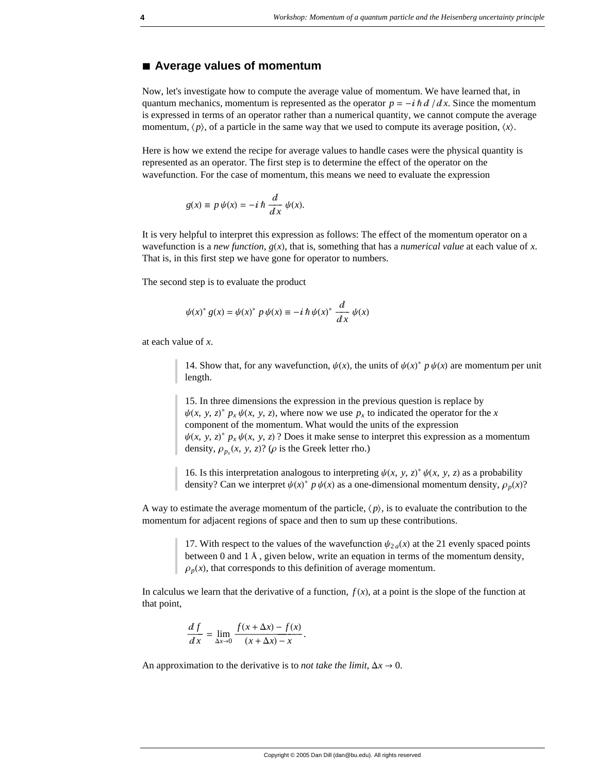#### **à Average values of momentum**

Now, let's investigate how to compute the average value of momentum. We have learned that, in quantum mechanics, momentum is represented as the operator  $p = -i \hbar d / dx$ . Since the momentum is expressed in terms of an operator rather than a numerical quantity, we cannot compute the average momentum,  $\langle p \rangle$ , of a particle in the same way that we used to compute its average position,  $\langle x \rangle$ .

Here is how we extend the recipe for average values to handle cases were the physical quantity is represented as an operator. The first step is to determine the effect of the operator on the wavefunction. For the case of momentum, this means we need to evaluate the expression

$$
g(x) \equiv p \psi(x) = -i \hbar \frac{d}{dx} \psi(x).
$$

It is very helpful to interpret this expression as follows: The effect of the momentum operator on a wavefunction is a *new function*,  $g(x)$ , that is, something that has a *numerical value* at each value of *x*. That is, in this first step we have gone for operator to numbers.

The second step is to evaluate the product

$$
\psi(x)^* g(x) = \psi(x)^* p \psi(x) \equiv -i \hbar \psi(x)^* \frac{d}{dx} \psi(x)
$$

at each value of *x*.

14. Show that, for any wavefunction,  $\psi(x)$ , the units of  $\psi(x)^* p \psi(x)$  are momentum per unit length.

15. In three dimensions the expression in the previous question is replace by  $\psi(x, y, z)^* p_x \psi(x, y, z)$ , where now we use  $p_x$  to indicated the operator for the *x* component of the momentum. What would the units of the expression  $\psi(x, y, z)^* p_x \psi(x, y, z)$ ? Does it make sense to interpret this expression as a momentum density,  $\rho_{p_x}(x, y, z)$ ? ( $\rho$  is the Greek letter rho.)

16. Is this interpretation analogous to interpreting  $\psi(x, y, z) * \psi(x, y, z)$  as a probability density? Can we interpret  $\psi(x)^* p \psi(x)$  as a one-dimensional momentum density,  $\rho_p(x)$ ?

A way to estimate the average momentum of the particle,  $\langle p \rangle$ , is to evaluate the contribution to the momentum for adjacent regions of space and then to sum up these contributions.

> 17. With respect to the values of the wavefunction  $\psi_{2a}(x)$  at the 21 evenly spaced points between 0 and 1 Å, given below, write an equation in terms of the momentum density,  $\rho_p(x)$ , that corresponds to this definition of average momentum.

In calculus we learn that the derivative of a function,  $f(x)$ , at a point is the slope of the function at that point,

$$
\frac{df}{dx} = \lim_{\Delta x \to 0} \frac{f(x + \Delta x) - f(x)}{(x + \Delta x) - x}.
$$

An approximation to the derivative is to *not take the limit*,  $\Delta x \rightarrow 0$ .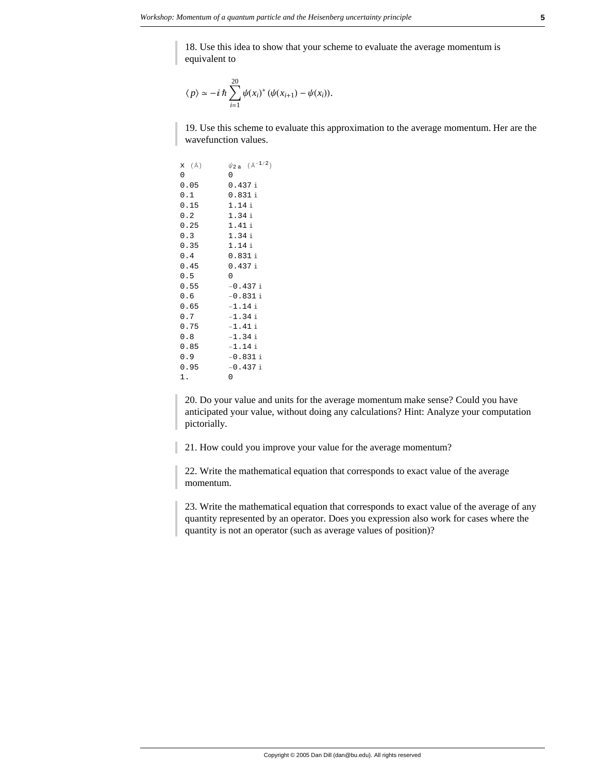18. Use this idea to show that your scheme to evaluate the average momentum is equivalent to

$$
\langle p \rangle \simeq -i \hbar \sum_{i=1}^{20} \psi(x_i)^* \left( \psi(x_{i+1}) - \psi(x_i) \right).
$$

19. Use this scheme to evaluate this approximation to the average momentum. Her are the wavefunction values.

| <b>x</b> (Å) | $\psi_{2\,\text{a}}$ ( $\mathbb{A}^{-1/2}$ ) |
|--------------|----------------------------------------------|
| 0            | 0                                            |
| 0.05         | 0.437i                                       |
| 0.1          | 0.831i                                       |
| 0.15         | 1.14 i                                       |
| 0.2          | 1.34i                                        |
| 0.25         | 1.41 i                                       |
| 0.3          | 1.34i                                        |
| 0.35         | 1.14 i                                       |
| 0.4          | 0.831i                                       |
| 0.45         | 0.437i                                       |
| 0.5          | 0                                            |
| 0.55         | $-0.437i$                                    |
| 0.6          | $-0.831i$                                    |
| 0.65         | $-1.14$ i                                    |
| 0.7          | $-1.34$ i                                    |
| 0.75         | $-1.41$ i                                    |
| 0.8          | $-1.34$ i                                    |
| 0.85         | $-1.14$ i                                    |
| 0.9          | $-0.831i$                                    |
| 0.95         | $-0.437i$                                    |
| 1.           | 0                                            |

20. Do your value and units for the average momentum make sense? Could you have anticipated your value, without doing any calculations? Hint: Analyze your computation pictorially.

21. How could you improve your value for the average momentum?

22. Write the mathematical equation that corresponds to exact value of the average momentum.

23. Write the mathematical equation that corresponds to exact value of the average of any quantity represented by an operator. Does you expression also work for cases where the quantity is not an operator (such as average values of position)?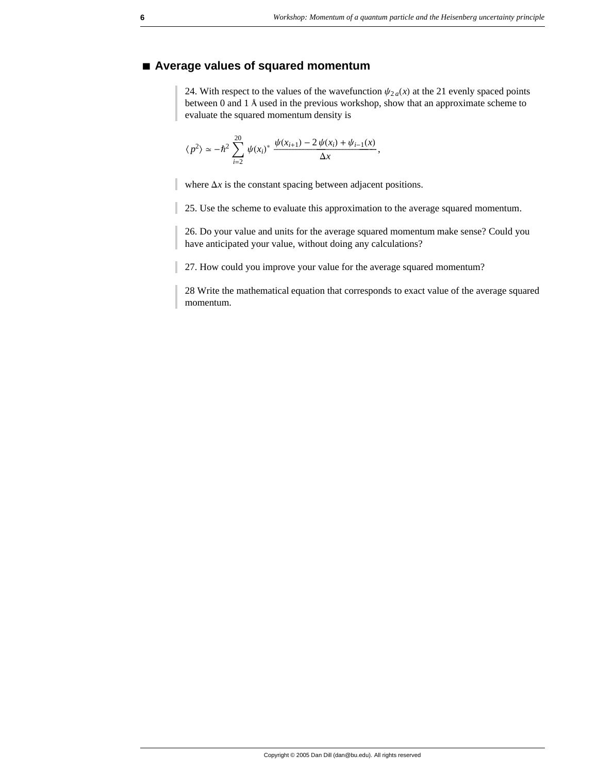# **à Average values of squared momentum**

24. With respect to the values of the wavefunction  $\psi_{2a}(x)$  at the 21 evenly spaced points between 0 and 1 Å used in the previous workshop, show that an approximate scheme to evaluate the squared momentum density is

$$
\langle p^2 \rangle \simeq -\hbar^2 \sum_{i=2}^{20} \psi(x_i)^* \frac{\psi(x_{i+1}) - 2 \psi(x_i) + \psi_{i-1}(x)}{\Delta x},
$$

where  $\Delta x$  is the constant spacing between adjacent positions.

25. Use the scheme to evaluate this approximation to the average squared momentum.

26. Do your value and units for the average squared momentum make sense? Could you have anticipated your value, without doing any calculations?

27. How could you improve your value for the average squared momentum?

28 Write the mathematical equation that corresponds to exact value of the average squared momentum.